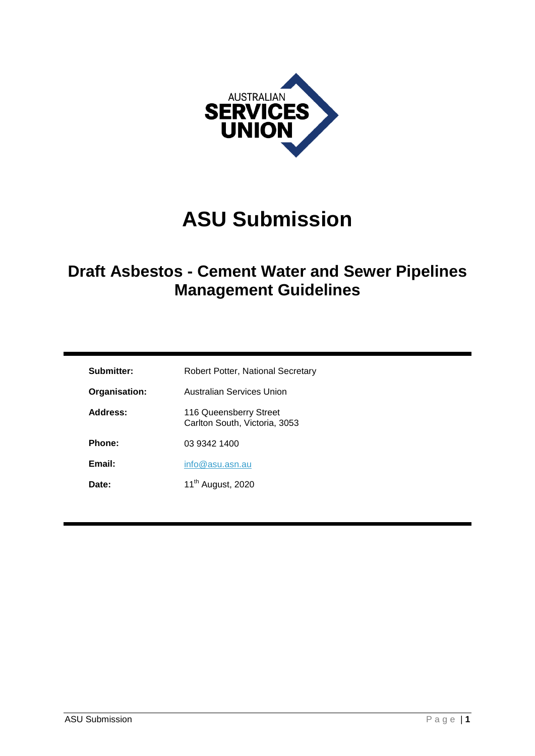

# **ASU Submission**

## **Draft Asbestos - Cement Water and Sewer Pipelines Management Guidelines**

| Submitter:    | Robert Potter, National Secretary                       |
|---------------|---------------------------------------------------------|
| Organisation: | Australian Services Union                               |
| Address:      | 116 Queensberry Street<br>Carlton South, Victoria, 3053 |
| Phone:        | 03 9342 1400                                            |
| Email:        | info@asu.asn.au                                         |
| Date:         | 11 <sup>th</sup> August, 2020                           |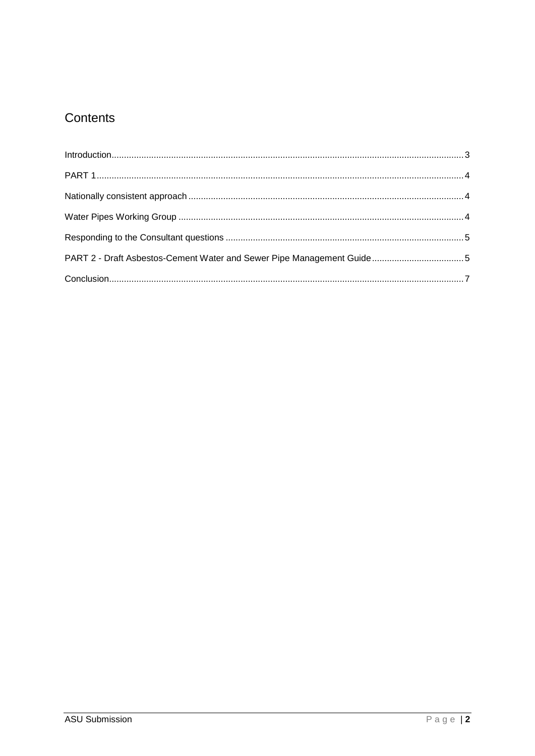### Contents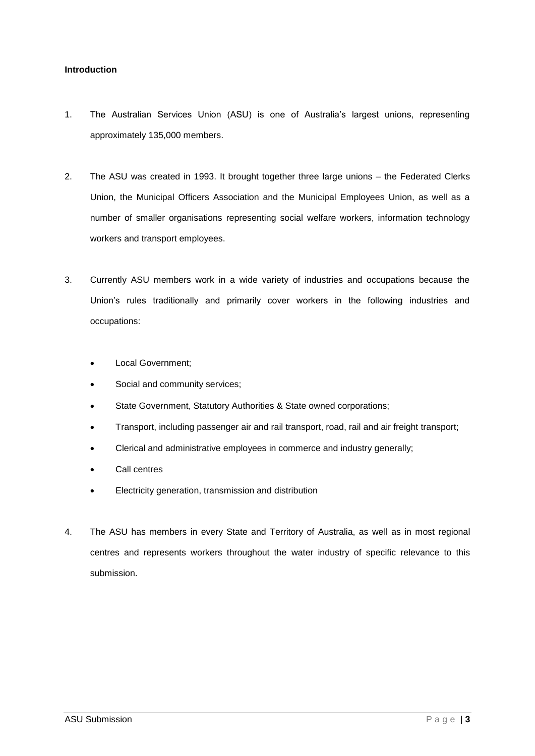#### <span id="page-2-0"></span>**Introduction**

- 1. The Australian Services Union (ASU) is one of Australia's largest unions, representing approximately 135,000 members.
- 2. The ASU was created in 1993. It brought together three large unions the Federated Clerks Union, the Municipal Officers Association and the Municipal Employees Union, as well as a number of smaller organisations representing social welfare workers, information technology workers and transport employees.
- 3. Currently ASU members work in a wide variety of industries and occupations because the Union's rules traditionally and primarily cover workers in the following industries and occupations:
	- Local Government;
	- Social and community services;
	- State Government, Statutory Authorities & State owned corporations;
	- Transport, including passenger air and rail transport, road, rail and air freight transport;
	- Clerical and administrative employees in commerce and industry generally;
	- Call centres
	- Electricity generation, transmission and distribution
- 4. The ASU has members in every State and Territory of Australia, as well as in most regional centres and represents workers throughout the water industry of specific relevance to this submission.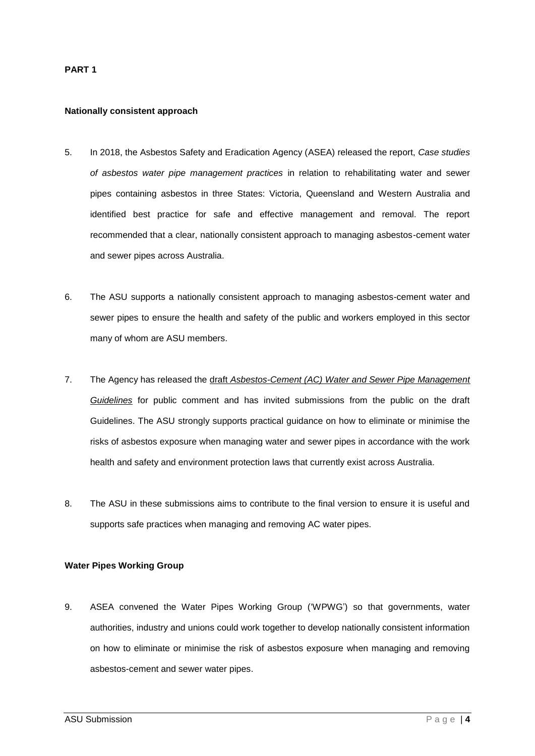#### <span id="page-3-0"></span>**PART 1**

#### <span id="page-3-1"></span>**Nationally consistent approach**

- 5. In 2018, the Asbestos Safety and Eradication Agency (ASEA) released the report, *Case studies of asbestos water pipe management practices* in relation to rehabilitating water and sewer pipes containing asbestos in three States: Victoria, Queensland and Western Australia and identified best practice for safe and effective management and removal. The report recommended that a clear, nationally consistent approach to managing asbestos-cement water and sewer pipes across Australia.
- 6. The ASU supports a nationally consistent approach to managing asbestos-cement water and sewer pipes to ensure the health and safety of the public and workers employed in this sector many of whom are ASU members.
- 7. The Agency has released the draft *[Asbestos-Cement \(AC\) Water and Sewer Pipe Management](https://www.asbestossafety.gov.au/news/public-consultation-nationally-consistent-approach-managing-asbestos-cement-water-and-sewer)  [Guidelines](https://www.asbestossafety.gov.au/news/public-consultation-nationally-consistent-approach-managing-asbestos-cement-water-and-sewer)* for public comment and has invited submissions from the public on the draft Guidelines. The ASU strongly supports practical guidance on how to eliminate or minimise the risks of asbestos exposure when managing water and sewer pipes in accordance with the work health and safety and environment protection laws that currently exist across Australia.
- 8. The ASU in these submissions aims to contribute to the final version to ensure it is useful and supports safe practices when managing and removing AC water pipes.

#### <span id="page-3-2"></span>**Water Pipes Working Group**

9. ASEA convened the Water Pipes Working Group ('WPWG') so that governments, water authorities, industry and unions could work together to develop nationally consistent information on how to eliminate or minimise the risk of asbestos exposure when managing and removing asbestos-cement and sewer water pipes.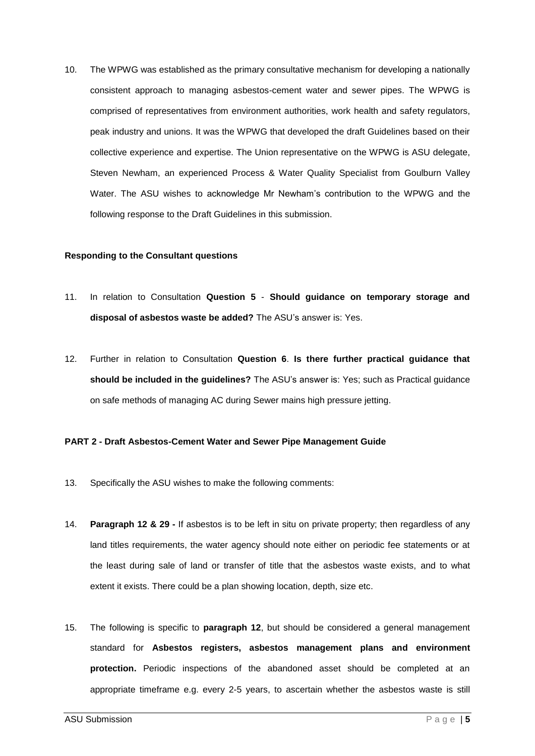10. The WPWG was established as the primary consultative mechanism for developing a nationally consistent approach to managing asbestos-cement water and sewer pipes. The WPWG is comprised of representatives from environment authorities, work health and safety regulators, peak industry and unions. It was the WPWG that developed the draft Guidelines based on their collective experience and expertise. The Union representative on the WPWG is ASU delegate, Steven Newham, an experienced Process & Water Quality Specialist from Goulburn Valley Water. The ASU wishes to acknowledge Mr Newham's contribution to the WPWG and the following response to the Draft Guidelines in this submission.

#### <span id="page-4-0"></span>**Responding to the Consultant questions**

- 11. In relation to Consultation **Question 5 Should guidance on temporary storage and disposal of asbestos waste be added?** The ASU's answer is: Yes.
- 12. Further in relation to Consultation **Question 6**. **Is there further practical guidance that should be included in the guidelines?** The ASU's answer is: Yes; such as Practical guidance on safe methods of managing AC during Sewer mains high pressure jetting.

#### <span id="page-4-1"></span>**PART 2 - Draft Asbestos-Cement Water and Sewer Pipe Management Guide**

- 13. Specifically the ASU wishes to make the following comments:
- 14. **Paragraph 12 & 29 -** If asbestos is to be left in situ on private property; then regardless of any land titles requirements, the water agency should note either on periodic fee statements or at the least during sale of land or transfer of title that the asbestos waste exists, and to what extent it exists. There could be a plan showing location, depth, size etc.
- 15. The following is specific to **paragraph 12**, but should be considered a general management standard for **Asbestos registers, asbestos management plans and environment protection.** Periodic inspections of the abandoned asset should be completed at an appropriate timeframe e.g. every 2-5 years, to ascertain whether the asbestos waste is still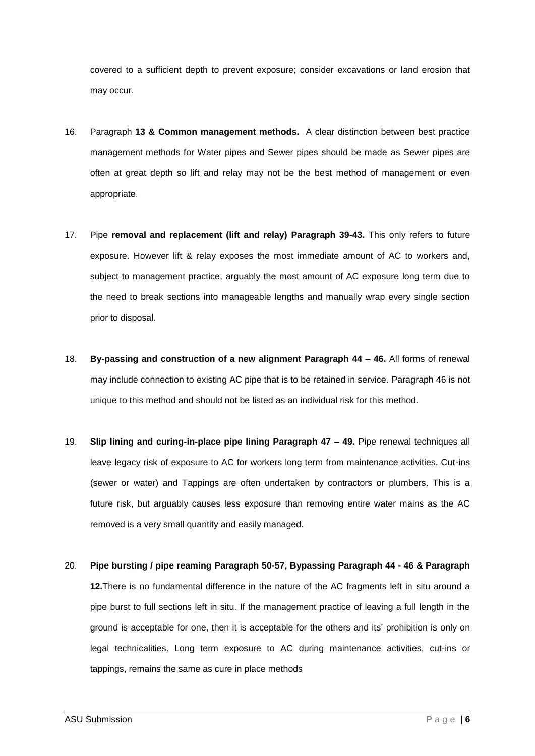covered to a sufficient depth to prevent exposure; consider excavations or land erosion that may occur.

- 16. Paragraph **13 & Common management methods.** A clear distinction between best practice management methods for Water pipes and Sewer pipes should be made as Sewer pipes are often at great depth so lift and relay may not be the best method of management or even appropriate.
- 17. Pipe **removal and replacement (lift and relay) Paragraph 39-43.** This only refers to future exposure. However lift & relay exposes the most immediate amount of AC to workers and, subject to management practice, arguably the most amount of AC exposure long term due to the need to break sections into manageable lengths and manually wrap every single section prior to disposal.
- 18. **By-passing and construction of a new alignment Paragraph 44 – 46.** All forms of renewal may include connection to existing AC pipe that is to be retained in service. Paragraph 46 is not unique to this method and should not be listed as an individual risk for this method.
- 19. **Slip lining and curing-in-place pipe lining Paragraph 47 – 49.** Pipe renewal techniques all leave legacy risk of exposure to AC for workers long term from maintenance activities. Cut-ins (sewer or water) and Tappings are often undertaken by contractors or plumbers. This is a future risk, but arguably causes less exposure than removing entire water mains as the AC removed is a very small quantity and easily managed.
- 20. **Pipe bursting / pipe reaming Paragraph 50-57, Bypassing Paragraph 44 - 46 & Paragraph 12.**There is no fundamental difference in the nature of the AC fragments left in situ around a pipe burst to full sections left in situ. If the management practice of leaving a full length in the ground is acceptable for one, then it is acceptable for the others and its' prohibition is only on legal technicalities. Long term exposure to AC during maintenance activities, cut-ins or tappings, remains the same as cure in place methods